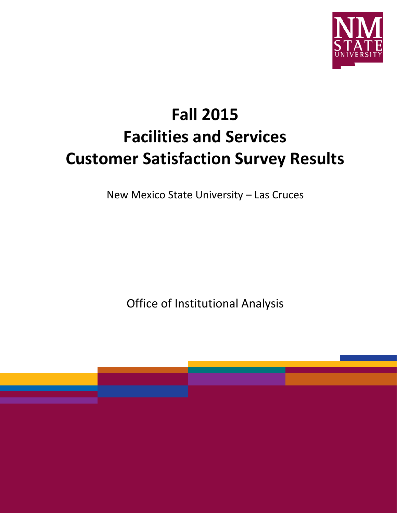

# **Fall 2015 Facilities and Services Customer Satisfaction Survey Results**

New Mexico State University – Las Cruces

Office of Institutional Analysis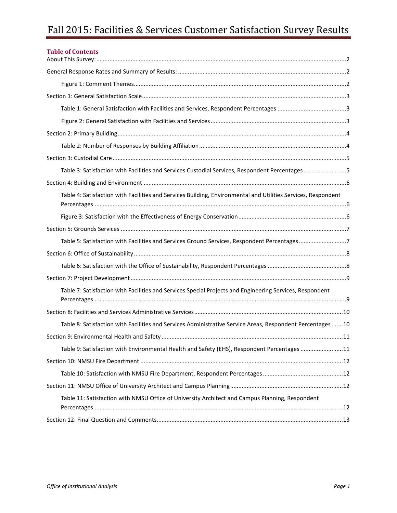# Fall 2015: Facilities & Services Customer Satisfaction Survey Results

| <b>Table of Contents</b>                                                                                      |     |
|---------------------------------------------------------------------------------------------------------------|-----|
|                                                                                                               |     |
|                                                                                                               |     |
|                                                                                                               |     |
|                                                                                                               |     |
|                                                                                                               |     |
|                                                                                                               |     |
|                                                                                                               |     |
|                                                                                                               |     |
| Table 3: Satisfaction with Facilities and Services Custodial Services, Respondent Percentages 5               |     |
|                                                                                                               |     |
| Table 4: Satisfaction with Facilities and Services Building, Environmental and Utilities Services, Respondent |     |
|                                                                                                               |     |
|                                                                                                               |     |
| Table 5: Satisfaction with Facilities and Services Ground Services, Respondent Percentages7                   |     |
|                                                                                                               |     |
|                                                                                                               |     |
|                                                                                                               |     |
| Table 7: Satisfaction with Facilities and Services Special Projects and Engineering Services, Respondent      |     |
|                                                                                                               |     |
| Table 8: Satisfaction with Facilities and Services Administrative Service Areas, Respondent Percentages10     |     |
|                                                                                                               | .11 |
| Table 9: Satisfaction with Environmental Health and Safety (EHS), Respondent Percentages 11                   |     |
|                                                                                                               |     |
|                                                                                                               |     |
|                                                                                                               |     |
| Table 11: Satisfaction with NMSU Office of University Architect and Campus Planning, Respondent               |     |
|                                                                                                               |     |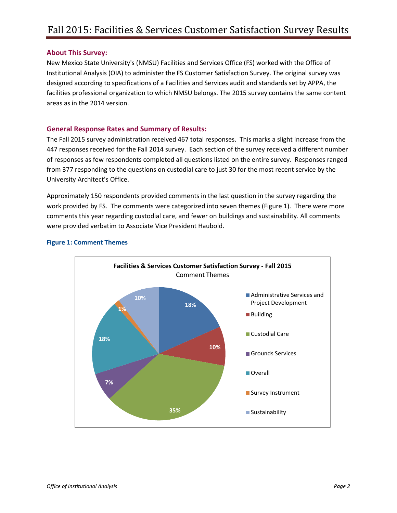#### <span id="page-2-0"></span>**About This Survey:**

New Mexico State University's (NMSU) Facilities and Services Office (FS) worked with the Office of Institutional Analysis (OIA) to administer the FS Customer Satisfaction Survey. The original survey was designed according to specifications of a Facilities and Services audit and standards set by APPA, the facilities professional organization to which NMSU belongs. The 2015 survey contains the same content areas as in the 2014 version.

#### <span id="page-2-1"></span>**General Response Rates and Summary of Results:**

The Fall 2015 survey administration received 467 total responses. This marks a slight increase from the 447 responses received for the Fall 2014 survey. Each section of the survey received a different number of responses as few respondents completed all questions listed on the entire survey. Responses ranged from 377 responding to the questions on custodial care to just 30 for the most recent service by the University Architect's Office.

Approximately 150 respondents provided comments in the last question in the survey regarding the work provided by FS. The comments were categorized into seven themes (Figure 1). There were more comments this year regarding custodial care, and fewer on buildings and sustainability. All comments were provided verbatim to Associate Vice President Haubold.



#### <span id="page-2-2"></span>**Figure 1: Comment Themes**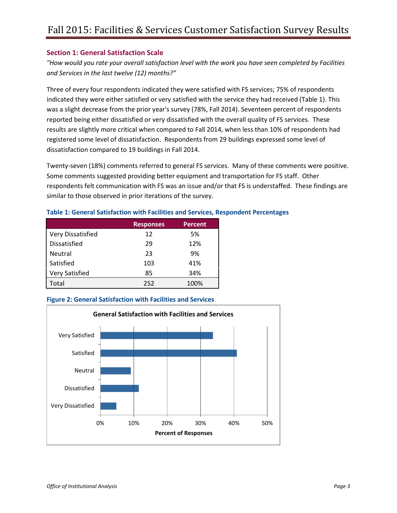# <span id="page-3-0"></span>**Section 1: General Satisfaction Scale**

*"How would you rate your overall satisfaction level with the work you have seen completed by Facilities and Services in the last twelve (12) months?"*

Three of every four respondents indicated they were satisfied with FS services; 75% of respondents indicated they were either satisfied or very satisfied with the service they had received (Table 1). This was a slight decrease from the prior year's survey (78%, Fall 2014). Seventeen percent of respondents reported being either dissatisfied or very dissatisfied with the overall quality of FS services. These results are slightly more critical when compared to Fall 2014, when less than 10% of respondents had registered some level of dissatisfaction. Respondents from 29 buildings expressed some level of dissatisfaction compared to 19 buildings in Fall 2014.

Twenty-seven (18%) comments referred to general FS services. Many of these comments were positive. Some comments suggested providing better equipment and transportation for FS staff. Other respondents felt communication with FS was an issue and/or that FS is understaffed. These findings are similar to those observed in prior iterations of the survey.

<span id="page-3-1"></span>

|  | Table 1: General Satisfaction with Facilities and Services, Respondent Percentages |  |
|--|------------------------------------------------------------------------------------|--|
|  |                                                                                    |  |

|                       | <b>Responses</b> | <b>Percent</b> |
|-----------------------|------------------|----------------|
| Very Dissatisfied     | 12               | 5%             |
| Dissatisfied          | 29               | 12%            |
| <b>Neutral</b>        | 23               | 9%             |
| Satisfied             | 103              | 41%            |
| <b>Very Satisfied</b> | 85               | 34%            |
| Total                 | 252              | 100%           |

#### <span id="page-3-2"></span>**Figure 2: General Satisfaction with Facilities and Services**

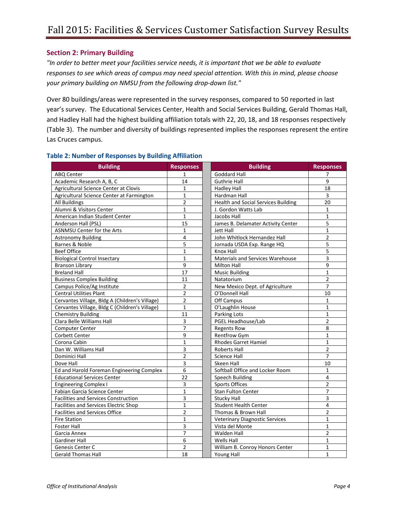# <span id="page-4-0"></span>**Section 2: Primary Building**

*"In order to better meet your facilities service needs, it is important that we be able to evaluate responses to see which areas of campus may need special attention. With this in mind, please choose your primary building on NMSU from the following drop-down list."* 

Over 80 buildings/areas were represented in the survey responses, compared to 50 reported in last year's survey. The Educational Services Center, Health and Social Services Building, Gerald Thomas Hall, and Hadley Hall had the highest building affiliation totals with 22, 20, 18, and 18 responses respectively (Table 3). The number and diversity of buildings represented implies the responses represent the entire Las Cruces campus.

| <b>Building</b>                                | <b>Responses</b>        | <b>Building</b>                            | <b>Responses</b>        |
|------------------------------------------------|-------------------------|--------------------------------------------|-------------------------|
| <b>ABO Center</b>                              | 1                       | <b>Goddard Hall</b>                        | 7                       |
| Academic Research A, B, C                      | 14                      | <b>Guthrie Hall</b>                        | 9                       |
| Agricultural Science Center at Clovis          | $\mathbf{1}$            | <b>Hadley Hall</b>                         | 18                      |
| Agricultural Science Center at Farmington      | $\mathbf{1}$            | Hardman Hall                               | 3                       |
| All Buildings                                  | $\overline{2}$          | <b>Health and Social Services Building</b> | 20                      |
| Alumni & Visitors Center                       | $\mathbf{1}$            | J. Gordon Watts Lab                        | $\mathbf{1}$            |
| American Indian Student Center                 | $\mathbf{1}$            | Jacobs Hall                                | $\mathbf{1}$            |
| Anderson Hall (PSL)                            | 15                      | James B. Delamater Activity Center         | 5                       |
| ASNMSU Center for the Arts                     | 1                       | Jett Hall                                  | $\mathbf{1}$            |
| <b>Astronomy Building</b>                      | $\overline{\mathbf{4}}$ | John Whitlock Hernandez Hall               | $\overline{\mathbf{c}}$ |
| Barnes & Noble                                 | 5                       | Jornada USDA Exp. Range HQ                 | 5                       |
| <b>Beef Office</b>                             | $\mathbf{1}$            | Knox Hall                                  | 5                       |
| <b>Biological Control Insectary</b>            | $\mathbf{1}$            | Materials and Services Warehouse           | 3                       |
| <b>Branson Library</b>                         | 9                       | <b>Milton Hall</b>                         | 9                       |
| <b>Breland Hall</b>                            | 17                      | <b>Music Building</b>                      | $\mathbf{1}$            |
| <b>Business Complex Building</b>               | 11                      | Natatorium                                 | $\overline{2}$          |
| Campus Police/Ag Institute                     | $\overline{2}$          | New Mexico Dept. of Agriculture            | $\overline{7}$          |
| <b>Central Utilities Plant</b>                 | $\overline{2}$          | O'Donnell Hall                             | 10                      |
| Cervantes Village, Bldg A (Children's Village) | $\overline{2}$          | Off Campus                                 | $\mathbf{1}$            |
| Cervantes Village, Bldg C (Children's Village) | $\mathbf{1}$            | O'Laughlin House                           | $\mathbf{1}$            |
| <b>Chemistry Building</b>                      | 11                      | Parking Lots                               | $\mathbf{1}$            |
| Clara Belle Williams Hall                      | 3                       | PGEL Headhouse/Lab                         | $\overline{2}$          |
| Computer Center                                | $\overline{7}$          | <b>Regents Row</b>                         | 8                       |
| Corbett Center                                 | 9                       | Rentfrow Gym                               | $\mathbf{1}$            |
| Corona Cabin                                   | $\mathbf{1}$            | <b>Rhodes Garret Hamiel</b>                | $\mathbf{1}$            |
| Dan W. Williams Hall                           | 3                       | <b>Roberts Hall</b>                        | $\overline{2}$          |
| Dominici Hall                                  | $\overline{2}$          | <b>Science Hall</b>                        | $\overline{7}$          |
| Dove Hall                                      | 3                       | Skeen Hall                                 | 10                      |
| Ed and Harold Foreman Engineering Complex      | 6                       | Softball Office and Locker Room            | $\mathbf{1}$            |
| <b>Educational Services Center</b>             | 22                      | Speech Building                            | 4                       |
| <b>Engineering Complex I</b>                   | 3                       | <b>Sports Offices</b>                      | $\overline{2}$          |
| Fabian Garcia Science Center                   | $\overline{1}$          | Stan Fulton Center                         | $\overline{7}$          |
| <b>Facilities and Services Construction</b>    | 3                       | <b>Stucky Hall</b>                         | 3                       |
| Facilities and Services Electric Shop          | $\mathbf{1}$            | <b>Student Health Center</b>               | 4                       |
| <b>Facilities and Services Office</b>          | $\overline{\mathbf{c}}$ | Thomas & Brown Hall                        | $\overline{2}$          |
| <b>Fire Station</b>                            | $\mathbf{1}$            | <b>Veterinary Diagnostic Services</b>      | $\mathbf{1}$            |
| <b>Foster Hall</b>                             | 3                       | Vista del Monte                            | $\mathbf{1}$            |
| Garcia Annex                                   | $\overline{7}$          | <b>Walden Hall</b>                         | $\overline{2}$          |
| <b>Gardiner Hall</b>                           | 6                       | <b>Wells Hall</b>                          | $\mathbf{1}$            |
| Genesis Center C                               | $\overline{2}$          | William B. Conroy Honors Center            | $\mathbf{1}$            |
| <b>Gerald Thomas Hall</b>                      | 18                      | Young Hall                                 | $\mathbf{1}$            |

## <span id="page-4-1"></span>**Table 2: Number of Responses by Building Affiliation**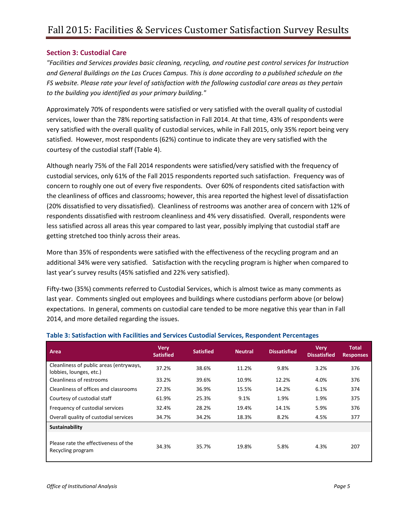## <span id="page-5-0"></span>**Section 3: Custodial Care**

*"Facilities and Services provides basic cleaning, recycling, and routine pest control services for Instruction and General Buildings on the Las Cruces Campus. This is done according to a published schedule on the FS website. Please rate your level of satisfaction with the following custodial care areas as they pertain to the building you identified as your primary building."*

Approximately 70% of respondents were satisfied or very satisfied with the overall quality of custodial services, lower than the 78% reporting satisfaction in Fall 2014. At that time, 43% of respondents were very satisfied with the overall quality of custodial services, while in Fall 2015, only 35% report being very satisfied. However, most respondents (62%) continue to indicate they are very satisfied with the courtesy of the custodial staff (Table 4).

Although nearly 75% of the Fall 2014 respondents were satisfied/very satisfied with the frequency of custodial services, only 61% of the Fall 2015 respondents reported such satisfaction. Frequency was of concern to roughly one out of every five respondents. Over 60% of respondents cited satisfaction with the cleanliness of offices and classrooms; however, this area reported the highest level of dissatisfaction (20% dissatisfied to very dissatisfied). Cleanliness of restrooms was another area of concern with 12% of respondents dissatisfied with restroom cleanliness and 4% very dissatisfied. Overall, respondents were less satisfied across all areas this year compared to last year, possibly implying that custodial staff are getting stretched too thinly across their areas.

More than 35% of respondents were satisfied with the effectiveness of the recycling program and an additional 34% were very satisfied. Satisfaction with the recycling program is higher when compared to last year's survey results (45% satisfied and 22% very satisfied).

Fifty-two (35%) comments referred to Custodial Services, which is almost twice as many comments as last year. Comments singled out employees and buildings where custodians perform above (or below) expectations. In general, comments on custodial care tended to be more negative this year than in Fall 2014, and more detailed regarding the issues.

| Area                                                               | <b>Very</b><br><b>Satisfied</b> | <b>Satisfied</b> | <b>Neutral</b> | <b>Dissatisfied</b> | <b>Very</b><br><b>Dissatisfied</b> | <b>Total</b><br><b>Responses</b> |
|--------------------------------------------------------------------|---------------------------------|------------------|----------------|---------------------|------------------------------------|----------------------------------|
| Cleanliness of public areas (entryways,<br>lobbies, lounges, etc.) | 37.2%                           | 38.6%            | 11.2%          | 9.8%                | 3.2%                               | 376                              |
| Cleanliness of restrooms                                           | 33.2%                           | 39.6%            | 10.9%          | 12.2%               | 4.0%                               | 376                              |
| Cleanliness of offices and classrooms                              | 27.3%                           | 36.9%            | 15.5%          | 14.2%               | 6.1%                               | 374                              |
| Courtesy of custodial staff                                        | 61.9%                           | 25.3%            | 9.1%           | 1.9%                | 1.9%                               | 375                              |
| Frequency of custodial services                                    | 32.4%                           | 28.2%            | 19.4%          | 14.1%               | 5.9%                               | 376                              |
| Overall quality of custodial services                              | 34.7%                           | 34.2%            | 18.3%          | 8.2%                | 4.5%                               | 377                              |
| Sustainability                                                     |                                 |                  |                |                     |                                    |                                  |
| Please rate the effectiveness of the<br>Recycling program          | 34.3%                           | 35.7%            | 19.8%          | 5.8%                | 4.3%                               | 207                              |

#### <span id="page-5-1"></span>**Table 3: Satisfaction with Facilities and Services Custodial Services, Respondent Percentages**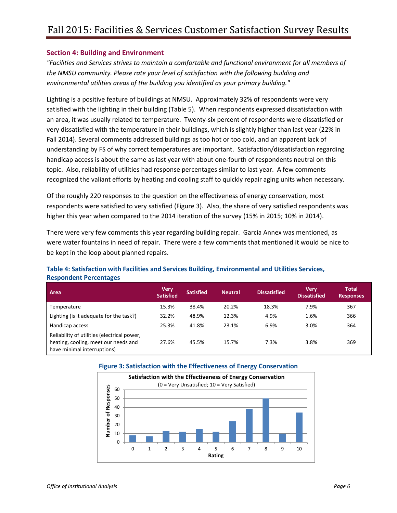#### <span id="page-6-0"></span>**Section 4: Building and Environment**

*"Facilities and Services strives to maintain a comfortable and functional environment for all members of the NMSU community. Please rate your level of satisfaction with the following building and environmental utilities areas of the building you identified as your primary building."*

Lighting is a positive feature of buildings at NMSU. Approximately 32% of respondents were very satisfied with the lighting in their building (Table 5). When respondents expressed dissatisfaction with an area, it was usually related to temperature. Twenty-six percent of respondents were dissatisfied or very dissatisfied with the temperature in their buildings, which is slightly higher than last year (22% in Fall 2014). Several comments addressed buildings as too hot or too cold, and an apparent lack of understanding by FS of why correct temperatures are important. Satisfaction/dissatisfaction regarding handicap access is about the same as last year with about one-fourth of respondents neutral on this topic. Also, reliability of utilities had response percentages similar to last year. A few comments recognized the valiant efforts by heating and cooling staff to quickly repair aging units when necessary.

Of the roughly 220 responses to the question on the effectiveness of energy conservation, most respondents were satisfied to very satisfied (Figure 3). Also, the share of very satisfied respondents was higher this year when compared to the 2014 iteration of the survey (15% in 2015; 10% in 2014).

There were very few comments this year regarding building repair. Garcia Annex was mentioned, as were water fountains in need of repair. There were a few comments that mentioned it would be nice to be kept in the loop about planned repairs.

#### <span id="page-6-1"></span>**Table 4: Satisfaction with Facilities and Services Building, Environmental and Utilities Services, Respondent Percentages**

| Area                                                                                                               | <b>Very</b><br><b>Satisfied</b> | <b>Satisfied</b> | <b>Neutral</b> | Dissatisfied | Verv<br><b>Dissatisfied</b> | Total<br><b>Responses</b> |
|--------------------------------------------------------------------------------------------------------------------|---------------------------------|------------------|----------------|--------------|-----------------------------|---------------------------|
| Temperature                                                                                                        | 15.3%                           | 38.4%            | 20.2%          | 18.3%        | 7.9%                        | 367                       |
| Lighting (is it adequate for the task?)                                                                            | 32.2%                           | 48.9%            | 12.3%          | 4.9%         | 1.6%                        | 366                       |
| Handicap access                                                                                                    | 25.3%                           | 41.8%            | 23.1%          | 6.9%         | 3.0%                        | 364                       |
| Reliability of utilities (electrical power,<br>heating, cooling, meet our needs and<br>have minimal interruptions) | 27.6%                           | 45.5%            | 15.7%          | 7.3%         | 3.8%                        | 369                       |

#### <span id="page-6-2"></span>**Figure 3: Satisfaction with the Effectiveness of Energy Conservation**

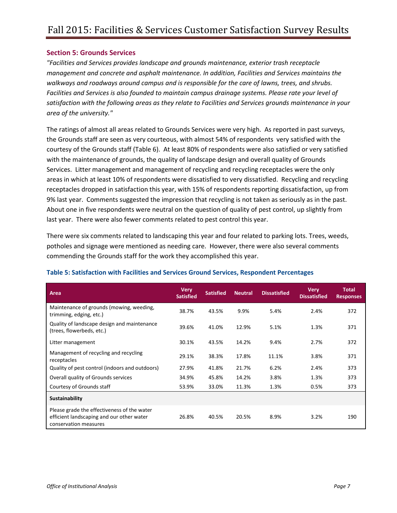#### <span id="page-7-0"></span>**Section 5: Grounds Services**

*"Facilities and Services provides landscape and grounds maintenance, exterior trash receptacle management and concrete and asphalt maintenance. In addition, Facilities and Services maintains the walkways and roadways around campus and is responsible for the care of lawns, trees, and shrubs. Facilities and Services is also founded to maintain campus drainage systems. Please rate your level of satisfaction with the following areas as they relate to Facilities and Services grounds maintenance in your area of the university."*

The ratings of almost all areas related to Grounds Services were very high. As reported in past surveys, the Grounds staff are seen as very courteous, with almost 54% of respondents very satisfied with the courtesy of the Grounds staff (Table 6). At least 80% of respondents were also satisfied or very satisfied with the maintenance of grounds, the quality of landscape design and overall quality of Grounds Services. Litter management and management of recycling and recycling receptacles were the only areas in which at least 10% of respondents were dissatisfied to very dissatisfied. Recycling and recycling receptacles dropped in satisfaction this year, with 15% of respondents reporting dissatisfaction, up from 9% last year. Comments suggested the impression that recycling is not taken as seriously as in the past. About one in five respondents were neutral on the question of quality of pest control, up slightly from last year. There were also fewer comments related to pest control this year.

There were six comments related to landscaping this year and four related to parking lots. Trees, weeds, potholes and signage were mentioned as needing care. However, there were also several comments commending the Grounds staff for the work they accomplished this year.

| Area                                                                                                              | <b>Very</b><br><b>Satisfied</b> | <b>Satisfied</b> | <b>Neutral</b> | <b>Dissatisfied</b> | <b>Very</b><br><b>Dissatisfied</b> | <b>Total</b><br><b>Responses</b> |
|-------------------------------------------------------------------------------------------------------------------|---------------------------------|------------------|----------------|---------------------|------------------------------------|----------------------------------|
| Maintenance of grounds (mowing, weeding,<br>trimming, edging, etc.)                                               | 38.7%                           | 43.5%            | 9.9%           | 5.4%                | 2.4%                               | 372                              |
| Quality of landscape design and maintenance<br>(trees, flowerbeds, etc.)                                          | 39.6%                           | 41.0%            | 12.9%          | 5.1%                | 1.3%                               | 371                              |
| Litter management                                                                                                 | 30.1%                           | 43.5%            | 14.2%          | 9.4%                | 2.7%                               | 372                              |
| Management of recycling and recycling<br>receptacles                                                              | 29.1%                           | 38.3%            | 17.8%          | 11.1%               | 3.8%                               | 371                              |
| Quality of pest control (indoors and outdoors)                                                                    | 27.9%                           | 41.8%            | 21.7%          | 6.2%                | 2.4%                               | 373                              |
| Overall quality of Grounds services                                                                               | 34.9%                           | 45.8%            | 14.2%          | 3.8%                | 1.3%                               | 373                              |
| Courtesy of Grounds staff                                                                                         | 53.9%                           | 33.0%            | 11.3%          | 1.3%                | 0.5%                               | 373                              |
| Sustainability                                                                                                    |                                 |                  |                |                     |                                    |                                  |
| Please grade the effectiveness of the water<br>efficient landscaping and our other water<br>conservation measures | 26.8%                           | 40.5%            | 20.5%          | 8.9%                | 3.2%                               | 190                              |

#### <span id="page-7-1"></span>**Table 5: Satisfaction with Facilities and Services Ground Services, Respondent Percentages**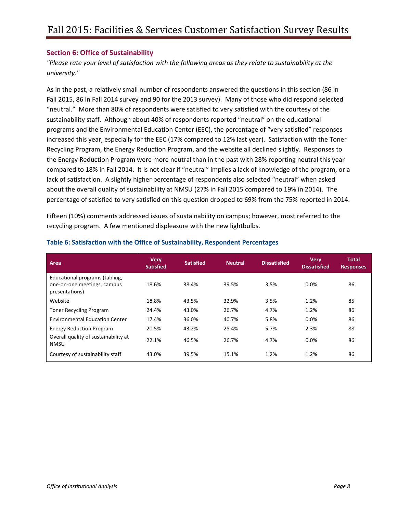## <span id="page-8-0"></span>**Section 6: Office of Sustainability**

*"Please rate your level of satisfaction with the following areas as they relate to sustainability at the university."*

As in the past, a relatively small number of respondents answered the questions in this section (86 in Fall 2015, 86 in Fall 2014 survey and 90 for the 2013 survey). Many of those who did respond selected "neutral." More than 80% of respondents were satisfied to very satisfied with the courtesy of the sustainability staff. Although about 40% of respondents reported "neutral" on the educational programs and the Environmental Education Center (EEC), the percentage of "very satisfied" responses increased this year, especially for the EEC (17% compared to 12% last year). Satisfaction with the Toner Recycling Program, the Energy Reduction Program, and the website all declined slightly. Responses to the Energy Reduction Program were more neutral than in the past with 28% reporting neutral this year compared to 18% in Fall 2014. It is not clear if "neutral" implies a lack of knowledge of the program, or a lack of satisfaction. A slightly higher percentage of respondents also selected "neutral" when asked about the overall quality of sustainability at NMSU (27% in Fall 2015 compared to 19% in 2014). The percentage of satisfied to very satisfied on this question dropped to 69% from the 75% reported in 2014.

Fifteen (10%) comments addressed issues of sustainability on campus; however, most referred to the recycling program. A few mentioned displeasure with the new lightbulbs.

| Area                                                                            | <b>Very</b><br><b>Satisfied</b> | <b>Satisfied</b> | <b>Neutral</b> | <b>Dissatisfied</b> | <b>Very</b><br><b>Dissatisfied</b> | <b>Total</b><br><b>Responses</b> |
|---------------------------------------------------------------------------------|---------------------------------|------------------|----------------|---------------------|------------------------------------|----------------------------------|
| Educational programs (tabling,<br>one-on-one meetings, campus<br>presentations) | 18.6%                           | 38.4%            | 39.5%          | 3.5%                | 0.0%                               | 86                               |
| Website                                                                         | 18.8%                           | 43.5%            | 32.9%          | 3.5%                | 1.2%                               | 85                               |
| <b>Toner Recycling Program</b>                                                  | 24.4%                           | 43.0%            | 26.7%          | 4.7%                | 1.2%                               | 86                               |
| <b>Environmental Education Center</b>                                           | 17.4%                           | 36.0%            | 40.7%          | 5.8%                | 0.0%                               | 86                               |
| <b>Energy Reduction Program</b>                                                 | 20.5%                           | 43.2%            | 28.4%          | 5.7%                | 2.3%                               | 88                               |
| Overall quality of sustainability at<br><b>NMSU</b>                             | 22.1%                           | 46.5%            | 26.7%          | 4.7%                | 0.0%                               | 86                               |
| Courtesy of sustainability staff                                                | 43.0%                           | 39.5%            | 15.1%          | 1.2%                | 1.2%                               | 86                               |

#### <span id="page-8-1"></span>**Table 6: Satisfaction with the Office of Sustainability, Respondent Percentages**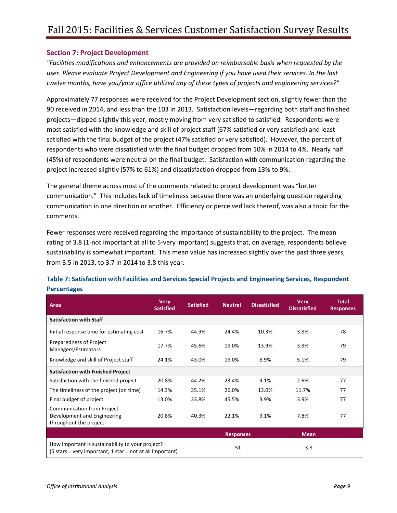## <span id="page-9-0"></span>**Section 7: Project Development**

*"Facilities modifications and enhancements are provided on reimbursable basis when requested by the user. Please evaluate Project Development and Engineering if you have used their services. In the last twelve months, have you/your office utilized any of these types of projects and engineering services?"*

Approximately 77 responses were received for the Project Development section, slightly fewer than the 90 received in 2014, and less than the 103 in 2013. Satisfaction levels—regarding both staff and finished projects—dipped slightly this year, mostly moving from very satisfied to satisfied. Respondents were most satisfied with the knowledge and skill of project staff (67% satisfied or very satisfied) and least satisfied with the final budget of the project (47% satisfied or very satisfied). However, the percent of respondents who were dissatisfied with the final budget dropped from 10% in 2014 to 4%. Nearly half (45%) of respondents were neutral on the final budget. Satisfaction with communication regarding the project increased slightly (57% to 61%) and dissatisfaction dropped from 13% to 9%.

The general theme across most of the comments related to project development was "better communication." This includes lack of timeliness because there was an underlying question regarding communication in one direction or another. Efficiency or perceived lack thereof, was also a topic for the comments.

Fewer responses were received regarding the importance of sustainability to the project. The mean rating of 3.8 (1-not important at all to 5-very important) suggests that, on average, respondents believe sustainability is somewhat important. This mean value has increased slightly over the past three years, from 3.5 in 2013, to 3.7 in 2014 to 3.8 this year.

| Area                                                                                                                                          | <b>Very</b><br><b>Satisfied</b> | <b>Satisfied</b> | <b>Neutral</b>   | <b>Dissatisfied</b> | <b>Very</b><br><b>Dissatisfied</b> | <b>Total</b><br><b>Responses</b> |
|-----------------------------------------------------------------------------------------------------------------------------------------------|---------------------------------|------------------|------------------|---------------------|------------------------------------|----------------------------------|
| <b>Satisfaction with Staff</b>                                                                                                                |                                 |                  |                  |                     |                                    |                                  |
| Initial response time for estimating cost                                                                                                     | 16.7%                           | 44.9%            | 24.4%            | 10.3%               | 3.8%                               | 78                               |
| Preparedness of Project<br>Managers/Estimators                                                                                                | 17.7%                           | 45.6%            | 19.0%            | 13.9%               | 3.8%                               | 79                               |
| Knowledge and skill of Project staff                                                                                                          | 24.1%                           | 43.0%            | 19.0%            | 8.9%                | 5.1%                               | 79                               |
| <b>Satisfaction with Finished Project</b>                                                                                                     |                                 |                  |                  |                     |                                    |                                  |
| Satisfaction with the finished project                                                                                                        | 20.8%                           | 44.2%            | 23.4%            | 9.1%                | 2.6%                               | 77                               |
| The timeliness of the project (on time)                                                                                                       | 14.3%                           | 35.1%            | 26.0%            | 13.0%               | 11.7%                              | 77                               |
| Final budget of project                                                                                                                       | 13.0%                           | 33.8%            | 45.5%            | 3.9%                | 3.9%                               | 77                               |
| <b>Communication from Project</b><br>Development and Engineering<br>throughout the project                                                    | 20.8%                           | 40.3%            | 22.1%            | 9.1%                | 7.8%                               | 77                               |
|                                                                                                                                               |                                 |                  | <b>Responses</b> |                     | <b>Mean</b>                        |                                  |
| How important is sustainability to your project?<br>$(5 \text{ stars} = \text{very important}, 1 \text{ star} = \text{not at all important})$ |                                 |                  | 51               |                     | 3.8                                |                                  |

# <span id="page-9-1"></span>**Table 7: Satisfaction with Facilities and Services Special Projects and Engineering Services, Respondent Percentages**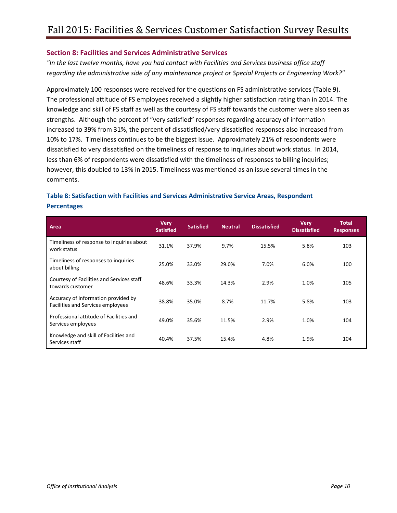#### <span id="page-10-0"></span>**Section 8: Facilities and Services Administrative Services**

*"In the last twelve months, have you had contact with Facilities and Services business office staff regarding the administrative side of any maintenance project or Special Projects or Engineering Work?"*

Approximately 100 responses were received for the questions on FS administrative services (Table 9). The professional attitude of FS employees received a slightly higher satisfaction rating than in 2014. The knowledge and skill of FS staff as well as the courtesy of FS staff towards the customer were also seen as strengths. Although the percent of "very satisfied" responses regarding accuracy of information increased to 39% from 31%, the percent of dissatisfied/very dissatisfied responses also increased from 10% to 17%. Timeliness continues to be the biggest issue. Approximately 21% of respondents were dissatisfied to very dissatisfied on the timeliness of response to inquiries about work status. In 2014, less than 6% of respondents were dissatisfied with the timeliness of responses to billing inquiries; however, this doubled to 13% in 2015. Timeliness was mentioned as an issue several times in the comments.

# <span id="page-10-1"></span>**Table 8: Satisfaction with Facilities and Services Administrative Service Areas, Respondent Percentages**

| Area                                                                     | <b>Very</b><br><b>Satisfied</b> | <b>Satisfied</b> | <b>Neutral</b> | <b>Dissatisfied</b> | <b>Very</b><br><b>Dissatisfied</b> | <b>Total</b><br><b>Responses</b> |
|--------------------------------------------------------------------------|---------------------------------|------------------|----------------|---------------------|------------------------------------|----------------------------------|
| Timeliness of response to inquiries about<br>work status                 | 31.1%                           | 37.9%            | 9.7%           | 15.5%               | 5.8%                               | 103                              |
| Timeliness of responses to inquiries<br>about billing                    | 25.0%                           | 33.0%            | 29.0%          | 7.0%                | 6.0%                               | 100                              |
| Courtesy of Facilities and Services staff<br>towards customer            | 48.6%                           | 33.3%            | 14.3%          | 2.9%                | 1.0%                               | 105                              |
| Accuracy of information provided by<br>Facilities and Services employees | 38.8%                           | 35.0%            | 8.7%           | 11.7%               | 5.8%                               | 103                              |
| Professional attitude of Facilities and<br>Services employees            | 49.0%                           | 35.6%            | 11.5%          | 2.9%                | 1.0%                               | 104                              |
| Knowledge and skill of Facilities and<br>Services staff                  | 40.4%                           | 37.5%            | 15.4%          | 4.8%                | 1.9%                               | 104                              |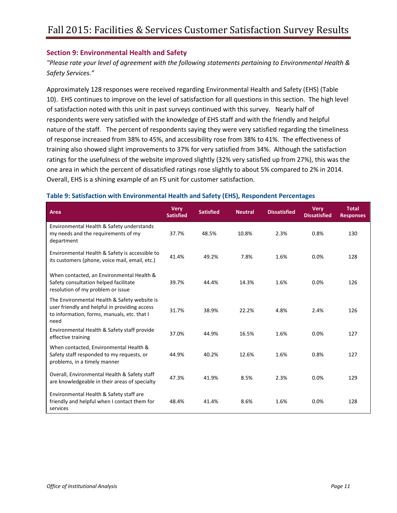#### <span id="page-11-0"></span>**Section 9: Environmental Health and Safety**

*"Please rate your level of agreement with the following statements pertaining to Environmental Health & Safety Services."*

Approximately 128 responses were received regarding Environmental Health and Safety (EHS) (Table 10). EHS continues to improve on the level of satisfaction for all questions in this section. The high level of satisfaction noted with this unit in past surveys continued with this survey. Nearly half of respondents were very satisfied with the knowledge of EHS staff and with the friendly and helpful nature of the staff. The percent of respondents saying they were very satisfied regarding the timeliness of response increased from 38% to 45%, and accessibility rose from 38% to 41%. The effectiveness of training also showed slight improvements to 37% for very satisfied from 34%. Although the satisfaction ratings for the usefulness of the website improved slightly (32% very satisfied up from 27%), this was the one area in which the percent of dissatisfied ratings rose slightly to about 5% compared to 2% in 2014. Overall, EHS is a shining example of an FS unit for customer satisfaction.

| Area                                                                                                                                                 | <b>Very</b><br><b>Satisfied</b> | <b>Satisfied</b> | <b>Neutral</b> | <b>Dissatisfied</b> | <b>Very</b><br><b>Dissatisfied</b> | <b>Total</b><br><b>Responses</b> |
|------------------------------------------------------------------------------------------------------------------------------------------------------|---------------------------------|------------------|----------------|---------------------|------------------------------------|----------------------------------|
| Environmental Health & Safety understands<br>my needs and the requirements of my<br>department                                                       | 37.7%                           | 48.5%            | 10.8%          | 2.3%                | 0.8%                               | 130                              |
| Environmental Health & Safety is accessible to<br>its customers (phone, voice mail, email, etc.)                                                     | 41.4%                           | 49.2%            | 7.8%           | 1.6%                | 0.0%                               | 128                              |
| When contacted, an Environmental Health &<br>Safety consultation helped facilitate<br>resolution of my problem or issue                              | 39.7%                           | 44.4%            | 14.3%          | 1.6%                | 0.0%                               | 126                              |
| The Environmental Health & Safety website is<br>user friendly and helpful in providing access<br>to information, forms, manuals, etc. that I<br>need | 31.7%                           | 38.9%            | 22.2%          | 4.8%                | 2.4%                               | 126                              |
| Environmental Health & Safety staff provide<br>effective training                                                                                    | 37.0%                           | 44.9%            | 16.5%          | 1.6%                | 0.0%                               | 127                              |
| When contacted, Environmental Health &<br>Safety staff responded to my requests, or<br>problems, in a timely manner                                  | 44.9%                           | 40.2%            | 12.6%          | 1.6%                | 0.8%                               | 127                              |
| Overall, Environmental Health & Safety staff<br>are knowledgeable in their areas of specialty                                                        | 47.3%                           | 41.9%            | 8.5%           | 2.3%                | 0.0%                               | 129                              |
| Environmental Health & Safety staff are<br>friendly and helpful when I contact them for<br>services                                                  | 48.4%                           | 41.4%            | 8.6%           | 1.6%                | 0.0%                               | 128                              |

#### <span id="page-11-1"></span>**Table 9: Satisfaction with Environmental Health and Safety (EHS), Respondent Percentages**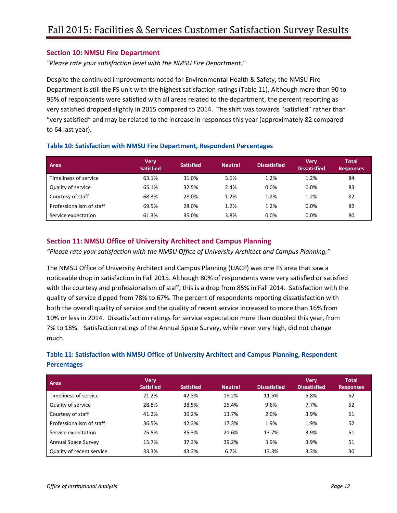#### <span id="page-12-0"></span>**Section 10: NMSU Fire Department**

*"Please rate your satisfaction level with the NMSU Fire Department."*

Despite the continued improvements noted for Environmental Health & Safety, the NMSU Fire Department is still the FS unit with the highest satisfaction ratings (Table 11). Although more than 90 to 95% of respondents were satisfied with all areas related to the department, the percent reporting as very satisfied dropped slightly in 2015 compared to 2014. The shift was towards "satisfied" rather than "very satisfied" and may be related to the increase in responses this year (approximately 82 compared to 64 last year).

| Area                     | Verv<br><b>Satisfied</b> | <b>Satisfied</b> | <b>Neutral</b> | <b>Dissatisfied</b> | <b>Verv</b><br><b>Dissatisfied</b> | <b>Total</b><br><b>Responses</b> |
|--------------------------|--------------------------|------------------|----------------|---------------------|------------------------------------|----------------------------------|
| Timeliness of service    | 63.1%                    | 31.0%            | 3.6%           | 1.2%                | 1.2%                               | 84                               |
| Quality of service       | 65.1%                    | 32.5%            | 2.4%           | 0.0%                | 0.0%                               | 83                               |
| Courtesy of staff        | 68.3%                    | 28.0%            | 1.2%           | 1.2%                | 1.2%                               | 82                               |
| Professionalism of staff | 69.5%                    | 28.0%            | 1.2%           | 1.2%                | 0.0%                               | 82                               |
| Service expectation      | 61.3%                    | 35.0%            | 3.8%           | 0.0%                | 0.0%                               | 80                               |

#### <span id="page-12-1"></span>**Table 10: Satisfaction with NMSU Fire Department, Respondent Percentages**

## <span id="page-12-2"></span>**Section 11: NMSU Office of University Architect and Campus Planning**

*"Please rate your satisfaction with the NMSU Office of University Architect and Campus Planning."*

The NMSU Office of University Architect and Campus Planning (UACP) was one FS area that saw a noticeable drop in satisfaction in Fall 2015. Although 80% of respondents were very satisfied or satisfied with the courtesy and professionalism of staff, this is a drop from 85% in Fall 2014. Satisfaction with the quality of service dipped from 78% to 67%. The percent of respondents reporting dissatisfaction with both the overall quality of service and the quality of recent service increased to more than 16% from 10% or less in 2014. Dissatisfaction ratings for service expectation more than doubled this year, from 7% to 18%. Satisfaction ratings of the Annual Space Survey, while never very high, did not change much.

# <span id="page-12-3"></span>**Table 11: Satisfaction with NMSU Office of University Architect and Campus Planning, Respondent Percentages**

| Area                       | <b>Very</b><br><b>Satisfied</b> | <b>Satisfied</b> | <b>Neutral</b> | <b>Dissatisfied</b> | <b>Very</b><br><b>Dissatisfied</b> | <b>Total</b><br><b>Responses</b> |
|----------------------------|---------------------------------|------------------|----------------|---------------------|------------------------------------|----------------------------------|
| Timeliness of service      | 21.2%                           | 42.3%            | 19.2%          | 11.5%               | 5.8%                               | 52                               |
| Quality of service         | 28.8%                           | 38.5%            | 15.4%          | 9.6%                | 7.7%                               | 52                               |
| Courtesy of staff          | 41.2%                           | 39.2%            | 13.7%          | 2.0%                | 3.9%                               | 51                               |
| Professionalism of staff   | 36.5%                           | 42.3%            | 17.3%          | 1.9%                | 1.9%                               | 52                               |
| Service expectation        | 25.5%                           | 35.3%            | 21.6%          | 13.7%               | 3.9%                               | 51                               |
| <b>Annual Space Survey</b> | 15.7%                           | 37.3%            | 39.2%          | 3.9%                | 3.9%                               | 51                               |
| Quality of recent service  | 33.3%                           | 43.3%            | 6.7%           | 13.3%               | 3.3%                               | 30                               |